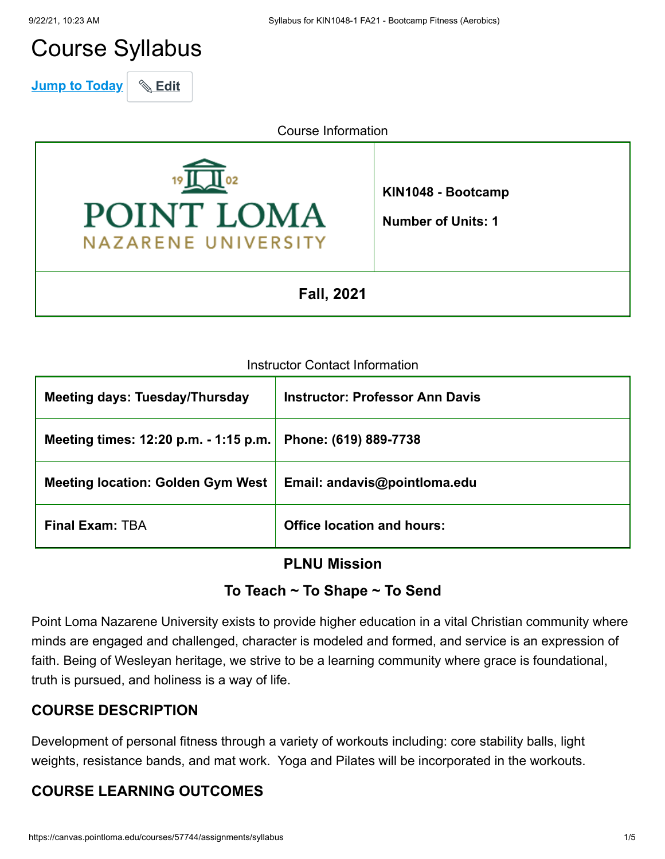# Course Syllabus

**Jump to Today** & Edit

Course Information



**KIN1048 - Bootcamp**

**Number of Units: 1**

**Fall, 2021**

#### Instructor Contact Information

| <b>Meeting days: Tuesday/Thursday</b>    | <b>Instructor: Professor Ann Davis</b> |
|------------------------------------------|----------------------------------------|
| Meeting times: 12:20 p.m. - 1:15 p.m.    | Phone: (619) 889-7738                  |
| <b>Meeting location: Golden Gym West</b> | Email: andavis@pointloma.edu           |
| <b>Final Exam: TBA</b>                   | <b>Office location and hours:</b>      |

#### **PLNU Mission**

#### **To Teach ~ To Shape ~ To Send**

Point Loma Nazarene University exists to provide higher education in a vital Christian community where minds are engaged and challenged, character is modeled and formed, and service is an expression of faith. Being of Wesleyan heritage, we strive to be a learning community where grace is foundational, truth is pursued, and holiness is a way of life.

#### **COURSE DESCRIPTION**

Development of personal fitness through a variety of workouts including: core stability balls, light weights, resistance bands, and mat work. Yoga and Pilates will be incorporated in the workouts.

### **COURSE LEARNING OUTCOMES**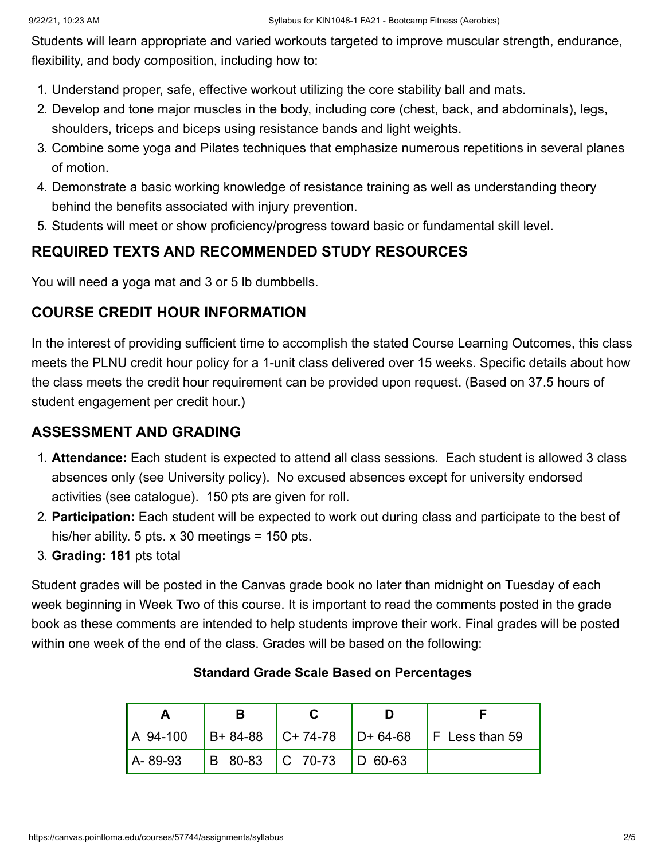Students will learn appropriate and varied workouts targeted to improve muscular strength, endurance, flexibility, and body composition, including how to:

- 1. Understand proper, safe, effective workout utilizing the core stability ball and mats.
- 2. Develop and tone major muscles in the body, including core (chest, back, and abdominals), legs, shoulders, triceps and biceps using resistance bands and light weights.
- 3. Combine some yoga and Pilates techniques that emphasize numerous repetitions in several planes of motion.
- 4. Demonstrate a basic working knowledge of resistance training as well as understanding theory behind the benefits associated with injury prevention.
- 5. Students will meet or show proficiency/progress toward basic or fundamental skill level.

### **REQUIRED TEXTS AND RECOMMENDED STUDY RESOURCES**

You will need a yoga mat and 3 or 5 lb dumbbells.

#### **COURSE CREDIT HOUR INFORMATION**

In the interest of providing sufficient time to accomplish the stated Course Learning Outcomes, this class meets the PLNU credit hour policy for a 1-unit class delivered over 15 weeks. Specific details about how the class meets the credit hour requirement can be provided upon request. (Based on 37.5 hours of student engagement per credit hour.)

#### **ASSESSMENT AND GRADING**

- 1. **Attendance:** Each student is expected to attend all class sessions. Each student is allowed 3 class absences only (see University policy). No excused absences except for university endorsed activities (see catalogue). 150 pts are given for roll.
- 2. **Participation:** Each student will be expected to work out during class and participate to the best of his/her ability. 5 pts. x 30 meetings = 150 pts.
- 3. **Grading: 181** pts total

Student grades will be posted in the Canvas grade book no later than midnight on Tuesday of each week beginning in Week Two of this course. It is important to read the comments posted in the grade book as these comments are intended to help students improve their work. Final grades will be posted within one week of the end of the class. Grades will be based on the following:

|            |                             | A 94-100 B+ 84-88 C+ 74-78 D+ 64-68 F Less than 59 |
|------------|-----------------------------|----------------------------------------------------|
| l A- 89-93 | B 80-83   C 70-73   D 60-63 |                                                    |

#### **Standard Grade Scale Based on Percentages**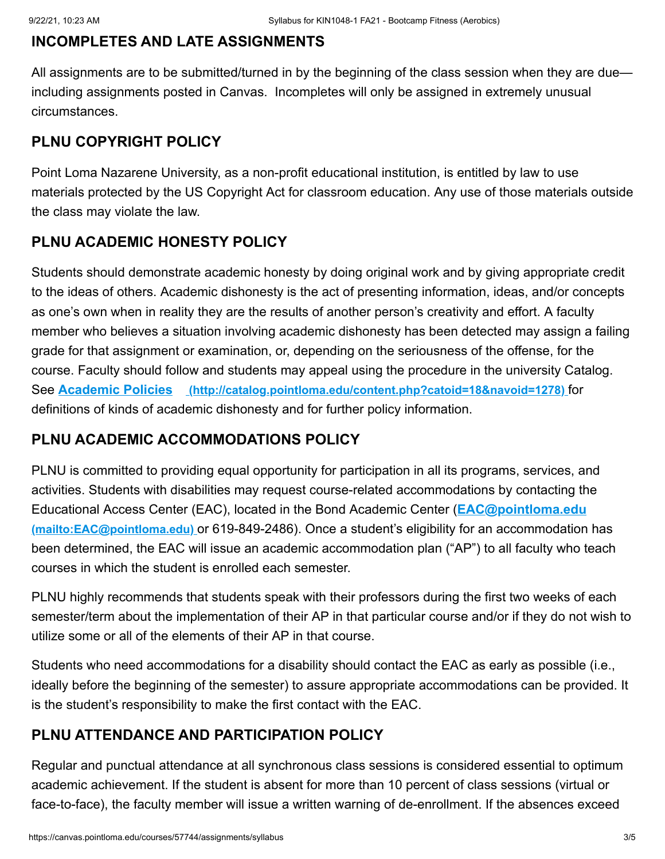## **INCOMPLETES AND LATE ASSIGNMENTS**

All assignments are to be submitted/turned in by the beginning of the class session when they are due including assignments posted in Canvas. Incompletes will only be assigned in extremely unusual circumstances.

## **PLNU COPYRIGHT POLICY**

Point Loma Nazarene University, as a non-profit educational institution, is entitled by law to use materials protected by the US Copyright Act for classroom education. Any use of those materials outside the class may violate the law.

## **PLNU ACADEMIC HONESTY POLICY**

Students should demonstrate academic honesty by doing original work and by giving appropriate credit to the ideas of others. Academic dishonesty is the act of presenting information, ideas, and/or concepts as one's own when in reality they are the results of another person's creativity and effort. A faculty member who believes a situation involving academic dishonesty has been detected may assign a failing grade for that assignment or examination, or, depending on the seriousness of the offense, for the course. Faculty should follow and students may appeal using the procedure in the university Catalog. See **Academic Policies [\(http://catalog.pointloma.edu/content.php?catoid=18&navoid=1278\)](http://catalog.pointloma.edu/content.php?catoid=18&navoid=1278)** for definitions of kinds of academic dishonesty and for further policy information.

## **PLNU ACADEMIC ACCOMMODATIONS POLICY**

PLNU is committed to providing equal opportunity for participation in all its programs, services, and activities. Students with disabilities may request course-related accommodations by contacting the [Educational Access Center \(EAC\), located in the Bond Academic Center \(](mailto:EAC@pointloma.edu)**EAC@pointloma.edu (mailto:EAC@pointloma.edu)** or 619-849-2486). Once a student's eligibility for an accommodation has been determined, the EAC will issue an academic accommodation plan ("AP") to all faculty who teach courses in which the student is enrolled each semester.

PLNU highly recommends that students speak with their professors during the first two weeks of each semester/term about the implementation of their AP in that particular course and/or if they do not wish to utilize some or all of the elements of their AP in that course.

Students who need accommodations for a disability should contact the EAC as early as possible (i.e., ideally before the beginning of the semester) to assure appropriate accommodations can be provided. It is the student's responsibility to make the first contact with the EAC.

## **PLNU ATTENDANCE AND PARTICIPATION POLICY**

Regular and punctual attendance at all synchronous class sessions is considered essential to optimum academic achievement. If the student is absent for more than 10 percent of class sessions (virtual or face-to-face), the faculty member will issue a written warning of de-enrollment. If the absences exceed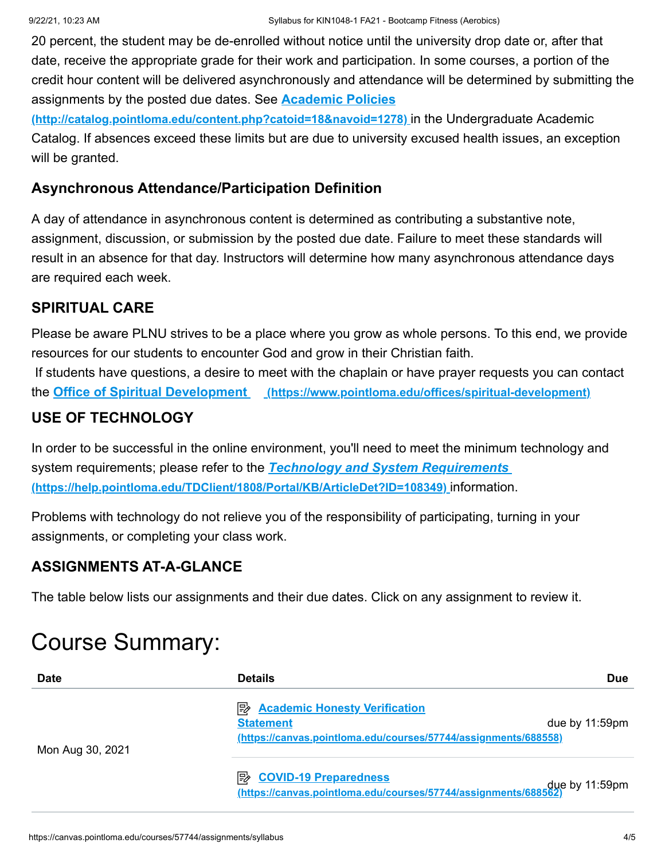20 percent, the student may be de-enrolled without notice until the university drop date or, after that date, receive the appropriate grade for their work and participation. In some courses, a portion of the credit hour content will be delivered asynchronously and attendance will be determined by submitting the assignments by the posted due dates. See **Academic Policies**

**[\(http://catalog.pointloma.edu/content.php?catoid=18&navoid=1278\)](http://catalog.pointloma.edu/content.php?catoid=18&navoid=1278)** in the Undergraduate Academic Catalog. If absences exceed these limits but are due to university excused health issues, an exception will be granted.

#### **Asynchronous Attendance/Participation Definition**

A day of attendance in asynchronous content is determined as contributing a substantive note, assignment, discussion, or submission by the posted due date. Failure to meet these standards will result in an absence for that day. Instructors will determine how many asynchronous attendance days are required each week.

### **SPIRITUAL CARE**

Please be aware PLNU strives to be a place where you grow as whole persons. To this end, we provide resources for our students to encounter God and grow in their Christian faith. If students have questions, a desire to meet with the chaplain or have prayer requests you can contact the **Office of Spiritual Development [\(https://www.pointloma.edu/offices/spiritual-development\)](https://www.pointloma.edu/offices/spiritual-development)**

## **USE OF TECHNOLOGY**

In order to be successful in the online environment, you'll need to meet the minimum technology and system requirements; please refer to the *Technology and System Requirements*  **[\(https://help.pointloma.edu/TDClient/1808/Portal/KB/ArticleDet?ID=108349\)](https://help.pointloma.edu/TDClient/1808/Portal/KB/ArticleDet?ID=108349)** information.

Problems with technology do not relieve you of the responsibility of participating, turning in your assignments, or completing your class work.

### **ASSIGNMENTS AT-A-GLANCE**

The table below lists our assignments and their due dates. Click on any assignment to review it.

# Course Summary:

| <b>Date</b>      | <b>Details</b>                                                                                                                   | <b>Due</b>     |
|------------------|----------------------------------------------------------------------------------------------------------------------------------|----------------|
| Mon Aug 30, 2021 | 眇<br><b>Academic Honesty Verification</b><br><b>Statement</b><br>(https://canvas.pointloma.edu/courses/57744/assignments/688558) | due by 11:59pm |
|                  | <b>B</b> COVID-19 Preparedness<br>due by 11:59pm (https://canvas.pointloma.edu/courses/57744/assignments/688562)                 |                |